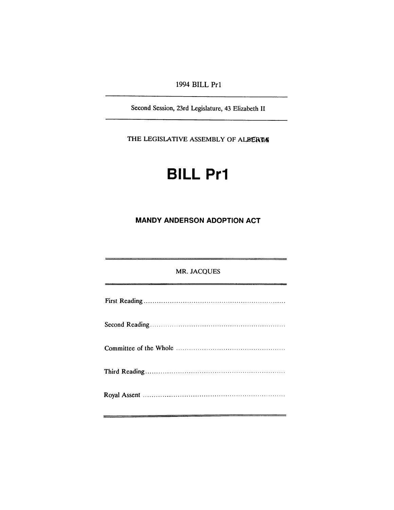## 1994 BILL Pr1

Second Session, 23rd Legislature, 43 Elizabeth II

THE LEGISLATIVE ASSEMBLY OF ALBERTA

# **BILL Pr1**

## **MANDY ANDERSON ADOPTION ACT**

#### MR. JACQUES